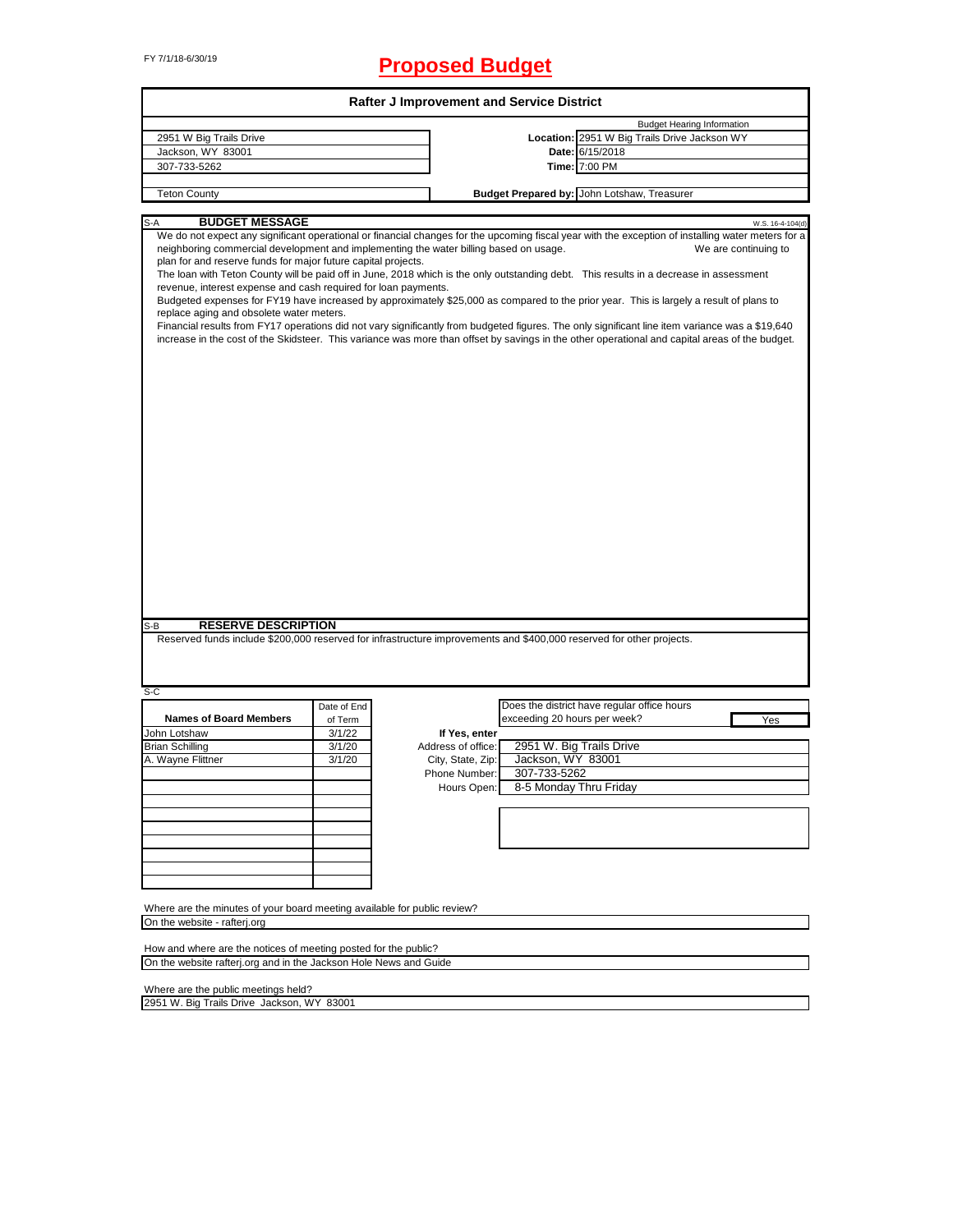# FY 7/1/18-6/30/19 **Proposed Budget**

| <b>Rafter J Improvement and Service District</b>                                                                                                                                                                                                                                                                                                                                                                                                                                                                                                                                                                                                                                                        |  |  |  |  |  |  |
|---------------------------------------------------------------------------------------------------------------------------------------------------------------------------------------------------------------------------------------------------------------------------------------------------------------------------------------------------------------------------------------------------------------------------------------------------------------------------------------------------------------------------------------------------------------------------------------------------------------------------------------------------------------------------------------------------------|--|--|--|--|--|--|
| <b>Budget Hearing Information</b>                                                                                                                                                                                                                                                                                                                                                                                                                                                                                                                                                                                                                                                                       |  |  |  |  |  |  |
| Location: 2951 W Big Trails Drive Jackson WY                                                                                                                                                                                                                                                                                                                                                                                                                                                                                                                                                                                                                                                            |  |  |  |  |  |  |
| Date: 6/15/2018                                                                                                                                                                                                                                                                                                                                                                                                                                                                                                                                                                                                                                                                                         |  |  |  |  |  |  |
| Time: 7:00 PM                                                                                                                                                                                                                                                                                                                                                                                                                                                                                                                                                                                                                                                                                           |  |  |  |  |  |  |
|                                                                                                                                                                                                                                                                                                                                                                                                                                                                                                                                                                                                                                                                                                         |  |  |  |  |  |  |
| Budget Prepared by: John Lotshaw, Treasurer                                                                                                                                                                                                                                                                                                                                                                                                                                                                                                                                                                                                                                                             |  |  |  |  |  |  |
| W.S. 16-4-104(d)                                                                                                                                                                                                                                                                                                                                                                                                                                                                                                                                                                                                                                                                                        |  |  |  |  |  |  |
| neighboring commercial development and implementing the water billing based on usage.<br>We are continuing to<br>The loan with Teton County will be paid off in June, 2018 which is the only outstanding debt. This results in a decrease in assessment<br>Budgeted expenses for FY19 have increased by approximately \$25,000 as compared to the prior year. This is largely a result of plans to<br>Financial results from FY17 operations did not vary significantly from budgeted figures. The only significant line item variance was a \$19,640<br>increase in the cost of the Skidsteer. This variance was more than offset by savings in the other operational and capital areas of the budget. |  |  |  |  |  |  |
|                                                                                                                                                                                                                                                                                                                                                                                                                                                                                                                                                                                                                                                                                                         |  |  |  |  |  |  |
| Reserved funds include \$200,000 reserved for infrastructure improvements and \$400,000 reserved for other projects.                                                                                                                                                                                                                                                                                                                                                                                                                                                                                                                                                                                    |  |  |  |  |  |  |
|                                                                                                                                                                                                                                                                                                                                                                                                                                                                                                                                                                                                                                                                                                         |  |  |  |  |  |  |
| Does the district have regular office hours                                                                                                                                                                                                                                                                                                                                                                                                                                                                                                                                                                                                                                                             |  |  |  |  |  |  |
| exceeding 20 hours per week?<br>Yes                                                                                                                                                                                                                                                                                                                                                                                                                                                                                                                                                                                                                                                                     |  |  |  |  |  |  |
|                                                                                                                                                                                                                                                                                                                                                                                                                                                                                                                                                                                                                                                                                                         |  |  |  |  |  |  |
| 2951 W. Big Trails Drive                                                                                                                                                                                                                                                                                                                                                                                                                                                                                                                                                                                                                                                                                |  |  |  |  |  |  |
| Jackson, WY 83001                                                                                                                                                                                                                                                                                                                                                                                                                                                                                                                                                                                                                                                                                       |  |  |  |  |  |  |
| 307-733-5262                                                                                                                                                                                                                                                                                                                                                                                                                                                                                                                                                                                                                                                                                            |  |  |  |  |  |  |
| 8-5 Monday Thru Friday                                                                                                                                                                                                                                                                                                                                                                                                                                                                                                                                                                                                                                                                                  |  |  |  |  |  |  |
|                                                                                                                                                                                                                                                                                                                                                                                                                                                                                                                                                                                                                                                                                                         |  |  |  |  |  |  |
|                                                                                                                                                                                                                                                                                                                                                                                                                                                                                                                                                                                                                                                                                                         |  |  |  |  |  |  |
|                                                                                                                                                                                                                                                                                                                                                                                                                                                                                                                                                                                                                                                                                                         |  |  |  |  |  |  |
|                                                                                                                                                                                                                                                                                                                                                                                                                                                                                                                                                                                                                                                                                                         |  |  |  |  |  |  |
|                                                                                                                                                                                                                                                                                                                                                                                                                                                                                                                                                                                                                                                                                                         |  |  |  |  |  |  |
|                                                                                                                                                                                                                                                                                                                                                                                                                                                                                                                                                                                                                                                                                                         |  |  |  |  |  |  |
|                                                                                                                                                                                                                                                                                                                                                                                                                                                                                                                                                                                                                                                                                                         |  |  |  |  |  |  |
|                                                                                                                                                                                                                                                                                                                                                                                                                                                                                                                                                                                                                                                                                                         |  |  |  |  |  |  |
|                                                                                                                                                                                                                                                                                                                                                                                                                                                                                                                                                                                                                                                                                                         |  |  |  |  |  |  |
|                                                                                                                                                                                                                                                                                                                                                                                                                                                                                                                                                                                                                                                                                                         |  |  |  |  |  |  |
|                                                                                                                                                                                                                                                                                                                                                                                                                                                                                                                                                                                                                                                                                                         |  |  |  |  |  |  |
|                                                                                                                                                                                                                                                                                                                                                                                                                                                                                                                                                                                                                                                                                                         |  |  |  |  |  |  |

Where are the public meetings held?

2951 W. Big Trails Drive Jackson, WY 83001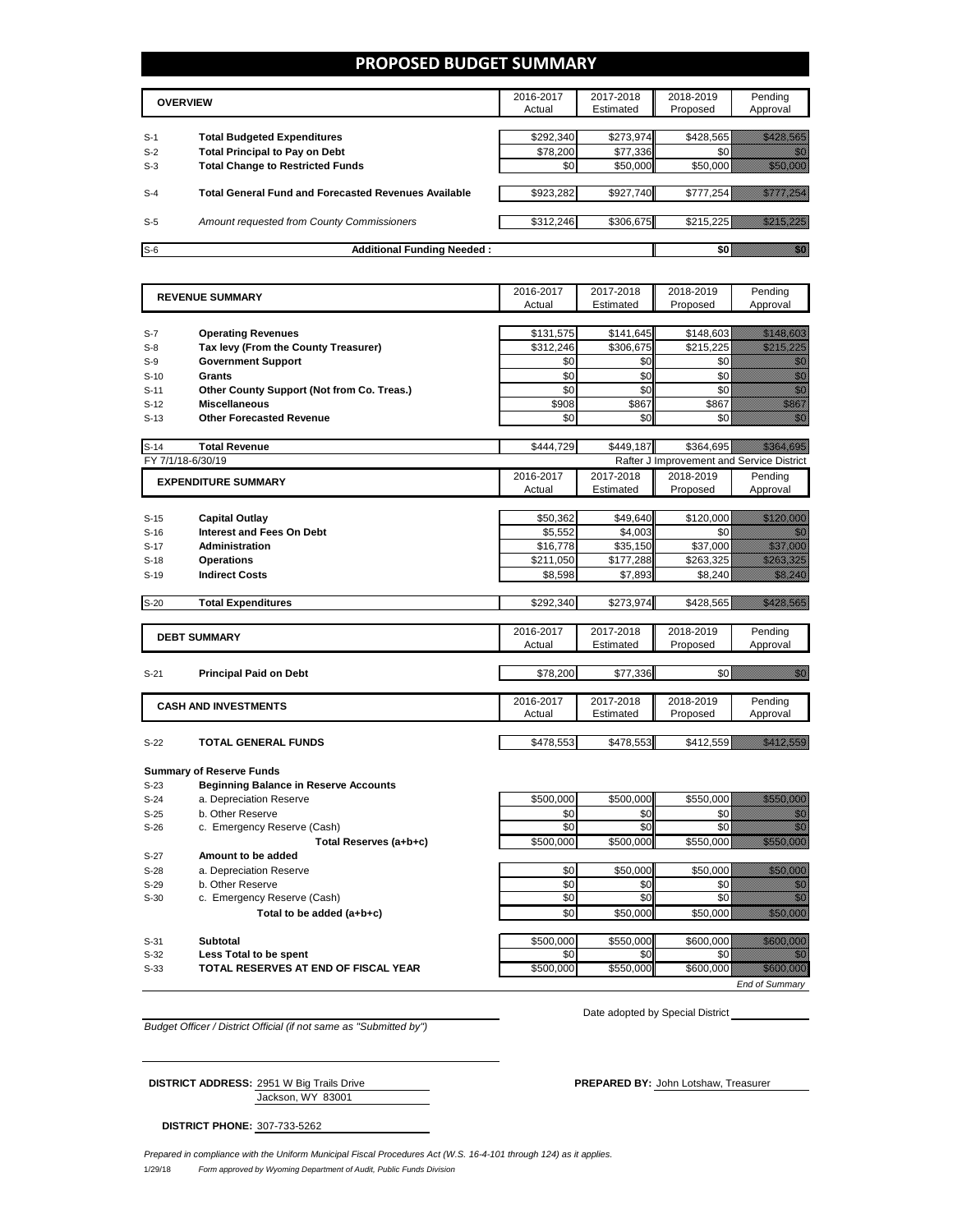### **PROPOSED BUDGET SUMMARY**

|                | <b>OVERVIEW</b>                                                             | 2016-2017<br>Actual   | 2017-2018<br>Estimated | 2018-2019<br>Proposed | Pending<br>Approval |
|----------------|-----------------------------------------------------------------------------|-----------------------|------------------------|-----------------------|---------------------|
|                |                                                                             |                       |                        |                       |                     |
| $S-1$<br>$S-2$ | <b>Total Budgeted Expenditures</b><br><b>Total Principal to Pay on Debt</b> | \$292.340<br>\$78.200 | \$273.974<br>\$77,336  | \$428.565             |                     |
| $S-3$          | <b>Total Change to Restricted Funds</b>                                     | \$0                   | \$50,000               | \$50,000              |                     |
|                |                                                                             |                       |                        |                       |                     |
| $S-4$          | <b>Total General Fund and Forecasted Revenues Available</b>                 | \$923,282             | \$927,740              | \$777,254             |                     |
| $S-5$          | Amount requested from County Commissioners                                  | \$312,246             | \$306,675              | \$215.225 Williams    |                     |
| $S-6$          | <b>Additional Funding Needed:</b>                                           |                       |                        |                       |                     |

2016-2017 Actual 2017-2018 Estimated 2018-2019 Proposed Pending Approval S-7 **Operating Revenues by Contact 10 and Contact 10 and Contact 11** \$131,575 \$141,645 \$148,603 \$148,603 S-8 **Tax levy (From the County Treasurer)** \$312,246 \$306,675 \$215,225 \$215,225 \$215,225 \$215,225 \$215,225 \$215,225 S-9 **Government Support** \$0 \$0 \$0 \$0 S-10 **Grants** \$0 \$0 \$0 \$0 S-11 **Other County Support (Not from Co. Treas.)** \$0 \$0 \$0 \$0 S-12 **Miscellaneous** \$908 \$867 \$867 \$867 \$867 \$867 \$867 S-13 **Other Forecasted Revenue** \$0 \$0 \$0 \$0 S-14 **Total Revenue 12.14 \$444,729 \$444,729 \$364,695** FY 7/1/18-6/30/19 Rafter J Improvement and Service District 2016-2017 Actual 2017-2018 Estimated 2018-2019 Proposed Pending Approval S-15 **Capital Outlay** \$50,362 | \$49,640 | \$120,000 S-16 **Interest and Fees On Debt** \$5,552 \$4,003 \$0 \$0 S-17 **Administration** \$16,778 \$35,150 \$37,000  *\$37,000 \$537,000 \$* S-18 **Operations** \$211,050 \$177,288 \$263,325 S-19 **Indirect Costs by Community Costs 19 Community Costs by Community Costs by Community Costs by Community Community Community Community Community Community Community Community Community Community Community** S-20 **Total Expenditures \$292,340 \$273,974 \$428,565 \$428,565 \$** 2016-2017 Actual 2017-2018 Estimated 2018-2019 Proposed Pending Approval S-21 **Principal Paid on Debt** \$78,200 \$77,336 \$0 2016-2017 Actual 2017-2018 Estimated 2018-2019 Proposed Pending Approval **S-22 <b>TOTAL GENERAL FUNDS** \$478,553 \$478,553 \$478,553 \$478,553 \$478,553 \$478,559 \$412,559 \$412,559 \$412,559 \$412,559 \$412,559 \$412,559 \$412,559 \$412,559 \$412,559 \$412,559 \$412,559 \$412,559 \$412,559 \$412,559 \$412,559 \$412, **Summary of Reserve Funds** S-23 **Beginning Balance in Reserve Accounts** S-24 a. Depreciation Reserve **12. Contract 12. Contract 12. SECO**,000 \$500,000 \$550,000 \$550,000 \$550,000 \$550,000 \$550,000 \$550,000 \$550,000 \$550,000 \$550,000 \$550,000 \$550,000 \$550,000 \$550,000 \$550,000 \$550,000 \$550,000 S-25 b. Other Reserve \$0 \$0 \$0 \$0 S-26 c. Emergency Reserve (Cash)  $\sqrt{30}$   $\sqrt{30}$   $\sqrt{30}$   $\sqrt{30}$   $\sqrt{30}$ **Total Reserves (a+b+c)**  $\begin{bmatrix} 1 & 0 & 0 \\ 0 & 0 & 0 \\ 0 & 0 & 0 \end{bmatrix}$  \$500,000 \$550,000 S-27 **Amount to be added**  S-28 a. Depreciation Reserve **\$1,000 \$50,000 \$50,000 \$50,000 \$50,000** \$50,000 \$50,000 \$50,000 \$50,000 \$50,000 \$50,000 \$50,000 \$50,000 \$50,000 \$50,000 \$50,000 \$50,000 \$50,000 \$50,000 \$50,000 \$50,000 \$50,000 \$50,000 \$50,000  $S-29$  b. Other Reserve  $S=0$   $S=0$   $S=0$   $S=0$   $S=0$ S-30 c. Emergency Reserve (Cash)  $\frac{1}{2}$   $\frac{1}{2}$   $\frac{1}{2}$   $\frac{1}{2}$   $\frac{1}{2}$   $\frac{1}{2}$   $\frac{1}{2}$   $\frac{1}{2}$   $\frac{1}{2}$   $\frac{1}{2}$   $\frac{1}{2}$   $\frac{1}{2}$   $\frac{1}{2}$   $\frac{1}{2}$   $\frac{1}{2}$   $\frac{1}{2}$   $\frac{1}{2}$   $\frac{1}{2}$   $\frac{1}{2}$ **Total to be added (a+b+c) be added** (a+b+c) **be added** (a+b+c) **be added** (a+b+c) **EXPENDITURE SUMMARY REVENUE SUMMARY DEBT SUMMARY CASH AND INVESTMENTS**

S-31 **Subtotal** \$500,000 \$550,000 \$600,000 S-32 **Less Total to be spent** \$0 \$0 \$0 \$0 S-33 **TOTAL RESERVES AT END OF FISCAL YEAR** \$500,000 \$550,000 \$650,000 \$600,000

*End of Summary*

*Budget Officer / District Official (if not same as "Submitted by")*

Date adopted by Special District

Jackson, WY 83001 **DISTRICT ADDRESS:** 2951 W Big Trails Drive **PREPARED BY:** John Lotshaw, Treasurer

**DISTRICT PHONE:** 307-733-5262

1/29/18 *Form approved by Wyoming Department of Audit, Public Funds Division Prepared in compliance with the Uniform Municipal Fiscal Procedures Act (W.S. 16-4-101 through 124) as it applies.*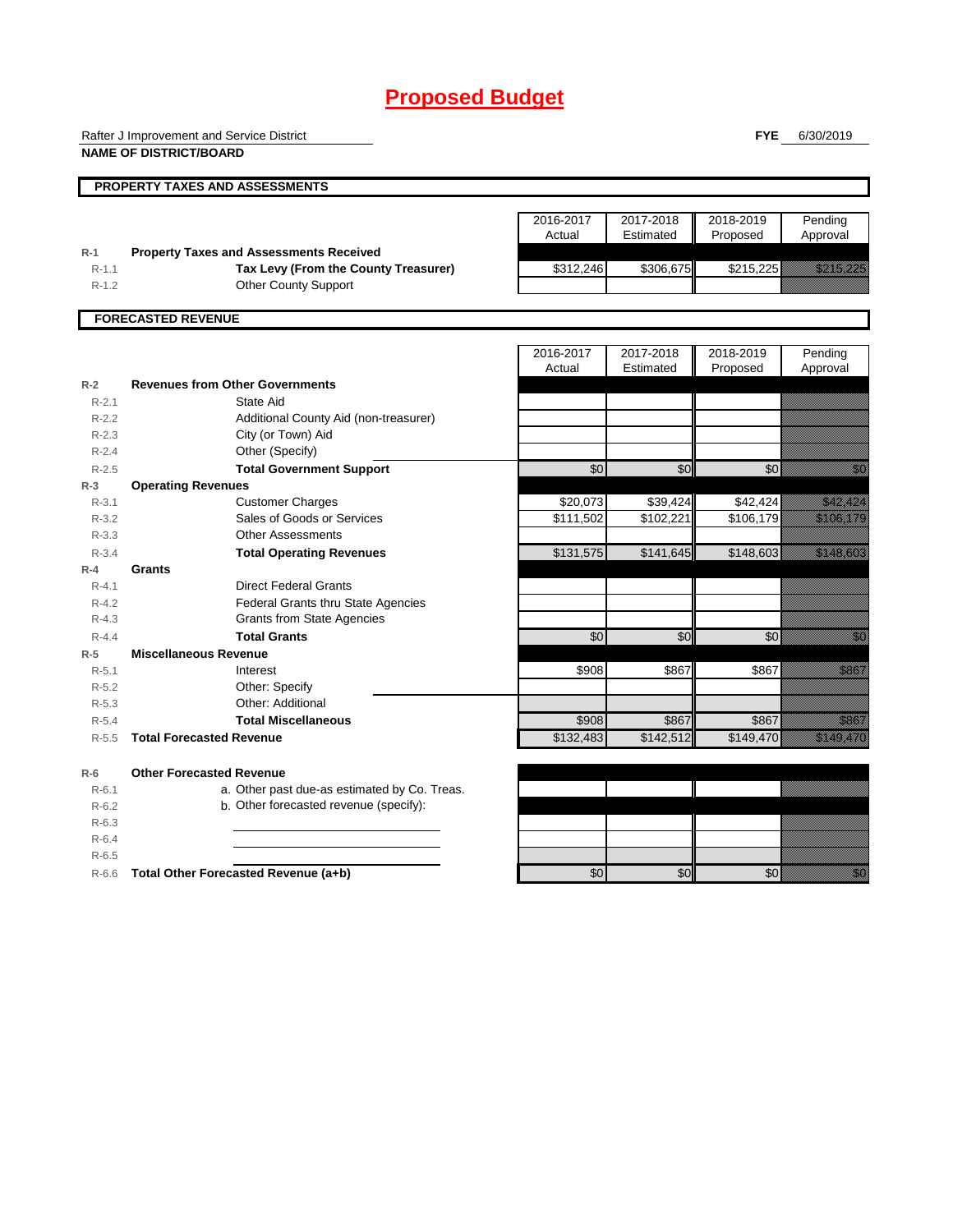# **Proposed Budget**

Rafter J Improvement and Service District

**NAME OF DISTRICT/BOARD**

**FYE** 6/30/2019

|                 | PROPERTY TAXES AND ASSESSMENTS                 |           |           |                 |                                                                                                                                                                                                                                 |
|-----------------|------------------------------------------------|-----------|-----------|-----------------|---------------------------------------------------------------------------------------------------------------------------------------------------------------------------------------------------------------------------------|
|                 |                                                | 2016-2017 | 2017-2018 | 2018-2019       | Pending                                                                                                                                                                                                                         |
|                 |                                                | Actual    | Estimated | Proposed        | Approval                                                                                                                                                                                                                        |
| $R-1$           | <b>Property Taxes and Assessments Received</b> |           |           |                 |                                                                                                                                                                                                                                 |
| $R - 1.1$       | Tax Levy (From the County Treasurer)           | \$312,246 | \$306,675 | \$215,225       | <u>e komunistist om de stad om</u>                                                                                                                                                                                              |
| $R - 1.2$       | <b>Other County Support</b>                    |           |           |                 |                                                                                                                                                                                                                                 |
|                 | <b>FORECASTED REVENUE</b>                      |           |           |                 |                                                                                                                                                                                                                                 |
|                 |                                                | 2016-2017 | 2017-2018 | 2018-2019       | Pending                                                                                                                                                                                                                         |
|                 |                                                | Actual    | Estimated | Proposed        | Approval                                                                                                                                                                                                                        |
| $R-2$           | <b>Revenues from Other Governments</b>         |           |           |                 |                                                                                                                                                                                                                                 |
| $R-2.1$         | State Aid                                      |           |           |                 |                                                                                                                                                                                                                                 |
| $R-2.2$         | Additional County Aid (non-treasurer)          |           |           |                 |                                                                                                                                                                                                                                 |
| $R - 2.3$       | City (or Town) Aid                             |           |           |                 |                                                                                                                                                                                                                                 |
| $R - 2.4$       | Other (Specify)                                |           |           |                 |                                                                                                                                                                                                                                 |
| $R - 2.5$       | <b>Total Government Support</b>                | \$0       | \$0       | \$0             | en de la filòlogía<br>Tallacha                                                                                                                                                                                                  |
| $R-3$           | <b>Operating Revenues</b>                      |           |           |                 |                                                                                                                                                                                                                                 |
| $R-3.1$         | <b>Customer Charges</b>                        | \$20,073  | \$39,424  | \$42,424        | <u> Kalifornia postali pri prima prima prima prima prima prima prima prima prima prima prima prima prima prima p</u>                                                                                                            |
| $R-3.2$         | Sales of Goods or Services                     | \$111,502 | \$102,221 | \$106,179       | <u> Kabupatèn Ba</u>                                                                                                                                                                                                            |
| $R - 3.3$       | <b>Other Assessments</b>                       |           |           |                 |                                                                                                                                                                                                                                 |
| $R - 3.4$       | <b>Total Operating Revenues</b>                | \$131,575 | \$141,645 | \$148,603       | <u> Kalendari Serika</u>                                                                                                                                                                                                        |
| $R-4$<br>Grants |                                                |           |           |                 |                                                                                                                                                                                                                                 |
| $R - 4.1$       | <b>Direct Federal Grants</b>                   |           |           |                 |                                                                                                                                                                                                                                 |
| $R - 4.2$       | Federal Grants thru State Agencies             |           |           |                 |                                                                                                                                                                                                                                 |
| $R - 4.3$       | <b>Grants from State Agencies</b>              |           |           |                 |                                                                                                                                                                                                                                 |
| $R - 4.4$       | <b>Total Grants</b>                            | \$0       | \$0       | $\overline{50}$ | en de la familie de la familie de la familie de la familie de la familie de la familie de la familie de la fa<br>De la familie de la familie de la familie de la familie de la familie de la familie de la familie de la famili |
| $R-5$           | <b>Miscellaneous Revenue</b>                   |           |           |                 |                                                                                                                                                                                                                                 |
| $R - 5.1$       | Interest                                       | \$908     | \$867     | \$867           | <u>ti k</u>                                                                                                                                                                                                                     |
| $R - 5.2$       | Other: Specify                                 |           |           |                 |                                                                                                                                                                                                                                 |
| $R - 5.3$       | Other: Additional                              |           |           |                 |                                                                                                                                                                                                                                 |
| $R - 5.4$       | <b>Total Miscellaneous</b>                     | \$908     | \$867     | \$867           | <u>eli k</u>                                                                                                                                                                                                                    |
| $R - 5.5$       | <b>Total Forecasted Revenue</b>                | \$132,483 | \$142,512 | \$149,470       | <u>Talian yang bermula</u>                                                                                                                                                                                                      |

**R-6 Other Forecasted Revenue** R-6.1 a. Other past due-as estimated by Co. Treas. R-6.2 b. Other forecasted revenue (specify): R-6.3 R-6.4

R-6.5

R-6.6 **Total Other Forecasted Revenue (a+b)** \$0 \$0 \$0 \$0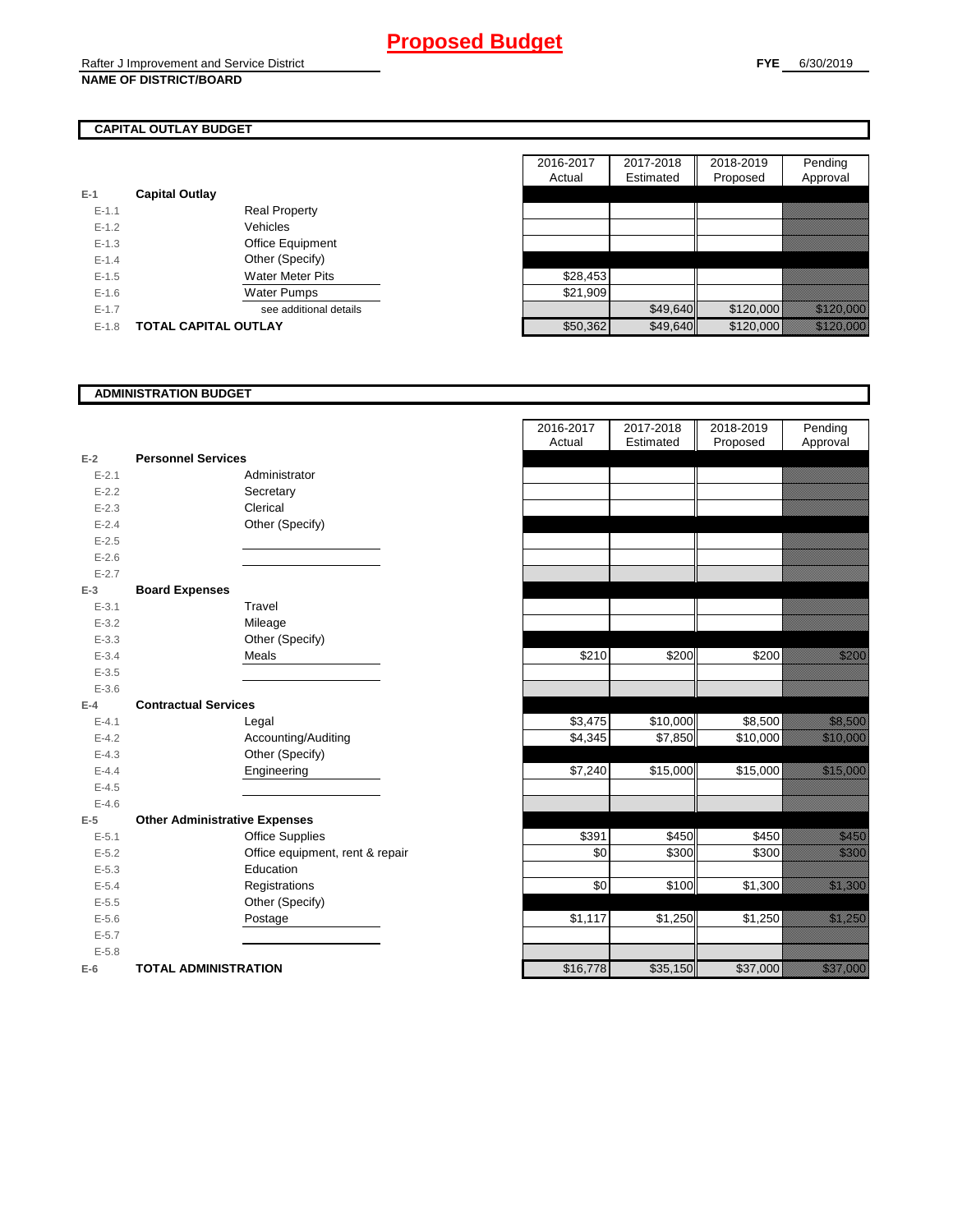# **CAPITAL OUTLAY BUDGET**

|                         | 110191   |
|-------------------------|----------|
| <b>Capital Outlay</b>   |          |
| <b>Real Property</b>    |          |
| Vehicles                |          |
| <b>Office Equipment</b> |          |
| Other (Specify)         |          |
| <b>Water Meter Pits</b> | \$28,453 |
| <b>Water Pumps</b>      | \$21,909 |
| see additional details  |          |
| TOTAL CAPITAL OUTLAY    | \$50,362 |
|                         |          |

|           |                             |                         | 2016-2017 | 2017-2018 | 2018-2019 | Pending                                                                                                               |
|-----------|-----------------------------|-------------------------|-----------|-----------|-----------|-----------------------------------------------------------------------------------------------------------------------|
|           |                             |                         | Actual    | Estimated | Proposed  | Approval                                                                                                              |
|           | <b>Capital Outlay</b>       |                         |           |           |           |                                                                                                                       |
| $E - 1.1$ |                             | <b>Real Property</b>    |           |           |           |                                                                                                                       |
| $E - 1.2$ |                             | Vehicles                |           |           |           |                                                                                                                       |
| $E-1.3$   |                             | Office Equipment        |           |           |           |                                                                                                                       |
| $E - 1.4$ |                             | Other (Specify)         |           |           |           |                                                                                                                       |
| $E-1.5$   |                             | <b>Water Meter Pits</b> | \$28,453  |           |           |                                                                                                                       |
| $E-1.6$   |                             | Water Pumps             | \$21,909  |           |           |                                                                                                                       |
| $E - 1.7$ |                             | see additional details  |           | \$49,640  | \$120,000 | <u>eli kutoko k</u>                                                                                                   |
| $E-1.8$   | <b>TOTAL CAPITAL OUTLAY</b> |                         | \$50,362  | \$49,640  | \$120,000 | <u> a shekara ta 1999 a shekara ta 1999 a shekara ta 1999 a shekara ta 1999 a shekara ta 1999 a shekara ta 1999 a</u> |

## **ADMINISTRATION BUDGET**

| $E-2$     | <b>Personnel Services</b>            |                               |
|-----------|--------------------------------------|-------------------------------|
| $E - 2.1$ |                                      | Administrator                 |
| $E - 2.2$ |                                      | Secretary                     |
| $E - 2.3$ |                                      | Clerical                      |
| $E - 2.4$ |                                      | Other (Specify)               |
| $E - 2.5$ |                                      |                               |
| $E - 2.6$ |                                      |                               |
| $E - 2.7$ |                                      |                               |
| $E-3$     | <b>Board Expenses</b>                |                               |
| $E - 3.1$ |                                      | Travel                        |
| $E - 3.2$ |                                      | Mileage                       |
| $E - 3.3$ |                                      | Other (Specify)               |
| $E - 3.4$ |                                      | Meals                         |
| $E - 3.5$ |                                      |                               |
| $E - 3.6$ |                                      |                               |
| $E-4$     | <b>Contractual Services</b>          |                               |
| $E - 4.1$ |                                      | Legal                         |
| $E - 4.2$ |                                      | Accounting/Auditing           |
| $E - 4.3$ |                                      | Other (Specify)               |
| $E - 4.4$ |                                      | Engineering                   |
| $E - 4.5$ |                                      |                               |
| $E - 4.6$ |                                      |                               |
| $E-5$     | <b>Other Administrative Expenses</b> |                               |
| $E - 5.1$ |                                      | <b>Office Supplies</b>        |
| $E - 5.2$ |                                      | Office equipment, rent & repa |
| $E - 5.3$ |                                      | Education                     |
| $E - 5.4$ |                                      | Registrations                 |
| $E - 5.5$ |                                      | Other (Specify)               |
| $E - 5.6$ |                                      | Postage                       |
| $E - 5.7$ |                                      |                               |
| $E - 5.8$ |                                      |                               |
| $E-6$     | <b>TOTAL ADMINISTRATION</b>          |                               |

|                          |                                        | 2016-2017<br>Actual | 2017-2018<br>Estimated | 2018-2019<br>Proposed | Pending<br>Approval     |
|--------------------------|----------------------------------------|---------------------|------------------------|-----------------------|-------------------------|
| Ž                        | <b>Personnel Services</b>              |                     |                        |                       |                         |
| $E - 2.1$                | Administrator                          |                     |                        |                       |                         |
| $E - 2.2$                | Secretary                              |                     |                        |                       |                         |
| $E - 2.3$                | Clerical                               |                     |                        |                       |                         |
| $E - 2.4$                | Other (Specify)                        |                     |                        |                       |                         |
| $E - 2.5$                |                                        |                     |                        |                       |                         |
| $E - 2.6$                |                                        |                     |                        |                       |                         |
| $E-2.7$                  |                                        |                     |                        |                       |                         |
| $\overline{\phantom{a}}$ | <b>Board Expenses</b>                  |                     |                        |                       |                         |
| $E - 3.1$                | Travel                                 |                     |                        |                       |                         |
| $E - 3.2$                | Mileage                                |                     |                        |                       |                         |
| $E - 3.3$                | Other (Specify)                        |                     |                        |                       |                         |
| $E - 3.4$                | Meals                                  | \$210               | \$200                  | \$200                 | <u>tillistid</u>        |
| $E - 3.5$                |                                        |                     |                        |                       |                         |
| $E - 3.6$                |                                        |                     |                        |                       |                         |
| Ļ.                       | <b>Contractual Services</b>            |                     |                        |                       |                         |
| $E - 4.1$                | Legal                                  | \$3,475<br>\$4,345  | \$10,000               | \$8,500               | <u> Kalendari K</u>     |
| $E - 4.2$<br>$E - 4.3$   | Accounting/Auditing<br>Other (Specify) |                     | \$7,850                | \$10,000              | <u> Kalendari Se</u>    |
| $E - 4.4$                | Engineering                            | \$7,240             | \$15,000               | \$15,000              | <u> Harristo Sta</u>    |
| $E - 4.5$                |                                        |                     |                        |                       |                         |
| $E - 4.6$                |                                        |                     |                        |                       |                         |
| $\overline{\phantom{a}}$ | <b>Other Administrative Expenses</b>   |                     |                        |                       |                         |
| $E - 5.1$                | <b>Office Supplies</b>                 | \$391               | $\sqrt{450}$           | \$450                 | <u>i ka</u>             |
| $E - 5.2$                | Office equipment, rent & repair        | \$0                 | \$300                  | \$300                 | <u>till fra</u>         |
| $E - 5.3$                | Education                              |                     |                        |                       |                         |
| $E - 5.4$                | Registrations                          | \$0                 | \$100                  | \$1,300               | <u> Kalifornia (</u>    |
| $E - 5.5$                | Other (Specify)                        |                     |                        |                       |                         |
| $E - 5.6$                | Postage                                | \$1,117             | \$1,250                | \$1,250               | <u>tika kuning ka</u>   |
| $E - 5.7$                |                                        |                     |                        |                       |                         |
| $E - 5.8$                |                                        |                     |                        |                       |                         |
| ŝ                        | <b>TOTAL ADMINISTRATION</b>            | \$16,778            | \$35,150               | \$37,000              | <u>elitika kontroll</u> |
|                          |                                        |                     |                        |                       |                         |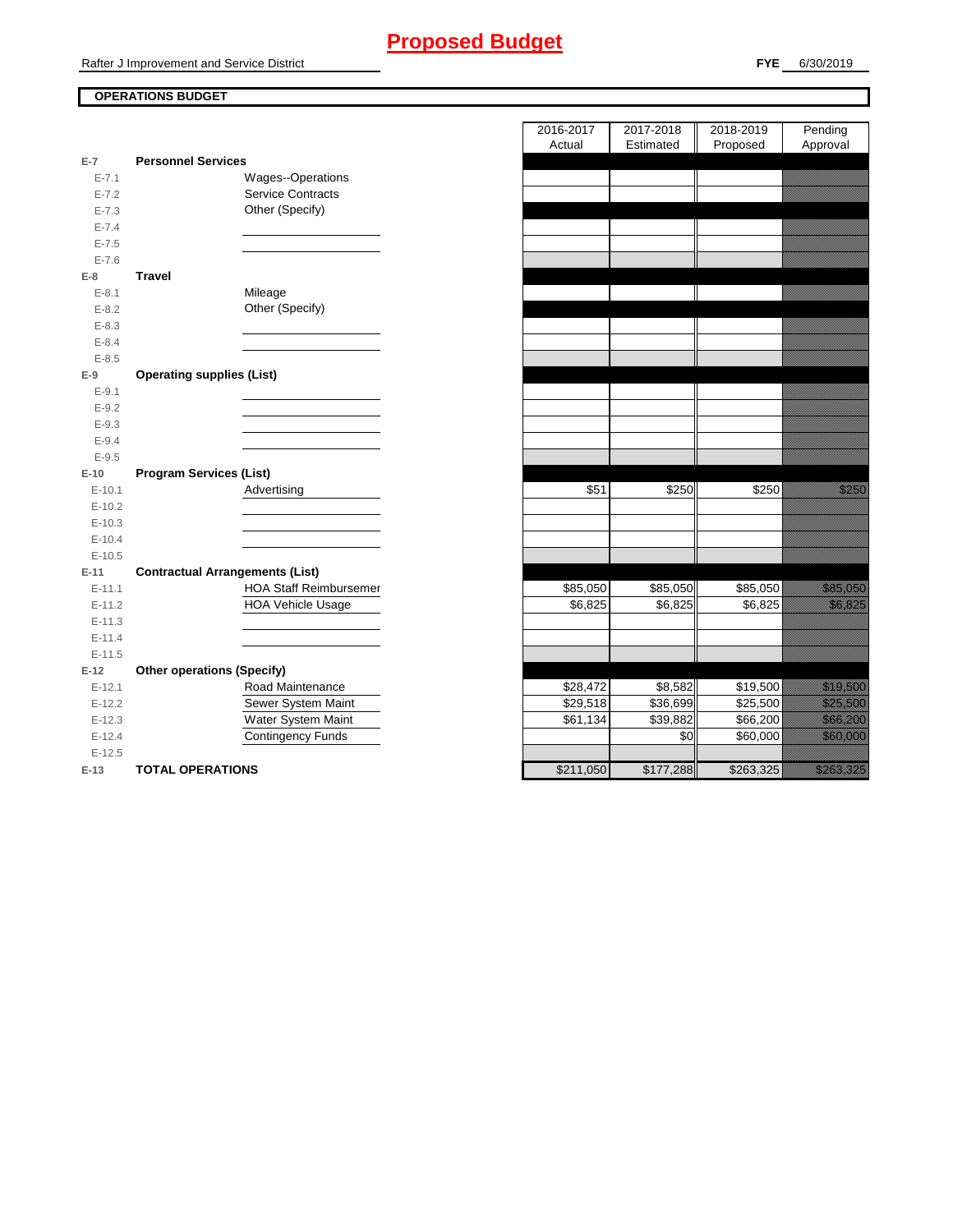# **Proposed Budget**

Rafter J Improvement and Service District

## **FYE** 6/30/2019

# **OPERATIONS BUDGET**

|           |                                        | Actual    | Estimated | Proposed             | Approvai                                                                                                                                                                                                                         |
|-----------|----------------------------------------|-----------|-----------|----------------------|----------------------------------------------------------------------------------------------------------------------------------------------------------------------------------------------------------------------------------|
| $E-7$     | <b>Personnel Services</b>              |           |           |                      |                                                                                                                                                                                                                                  |
| $E - 7.1$ | Wages--Operations                      |           |           |                      |                                                                                                                                                                                                                                  |
| $E - 7.2$ | <b>Service Contracts</b>               |           |           |                      |                                                                                                                                                                                                                                  |
| $E - 7.3$ | Other (Specify)                        |           |           |                      |                                                                                                                                                                                                                                  |
| $E - 7.4$ |                                        |           |           |                      |                                                                                                                                                                                                                                  |
| $E - 7.5$ |                                        |           |           |                      |                                                                                                                                                                                                                                  |
| $E - 7.6$ |                                        |           |           |                      |                                                                                                                                                                                                                                  |
| $E-8$     | <b>Travel</b>                          |           |           |                      |                                                                                                                                                                                                                                  |
| $E - 8.1$ | Mileage                                |           |           |                      |                                                                                                                                                                                                                                  |
| $E-8.2$   | Other (Specify)                        |           |           |                      |                                                                                                                                                                                                                                  |
| $E - 8.3$ |                                        |           |           |                      |                                                                                                                                                                                                                                  |
| $E - 8.4$ |                                        |           |           |                      |                                                                                                                                                                                                                                  |
| $E - 8.5$ |                                        |           |           |                      |                                                                                                                                                                                                                                  |
| $E-9$     | <b>Operating supplies (List)</b>       |           |           |                      |                                                                                                                                                                                                                                  |
| $E-9.1$   |                                        |           |           |                      |                                                                                                                                                                                                                                  |
| $E-9.2$   |                                        |           |           |                      |                                                                                                                                                                                                                                  |
| $E-9.3$   |                                        |           |           |                      |                                                                                                                                                                                                                                  |
| $E - 9.4$ |                                        |           |           |                      |                                                                                                                                                                                                                                  |
| $E-9.5$   |                                        |           |           |                      |                                                                                                                                                                                                                                  |
| $E-10$    | <b>Program Services (List)</b>         |           |           |                      |                                                                                                                                                                                                                                  |
| $E-10.1$  | Advertising                            | \$51      | \$250     | \$250                | a katika katika katika katika katika katika alifuwa alifuwa alifuwa alifuwa alifuwa alifuwa alifuwa alifuwa a<br>Marejeo                                                                                                         |
| $E-10.2$  |                                        |           |           |                      |                                                                                                                                                                                                                                  |
| $E-10.3$  |                                        |           |           |                      |                                                                                                                                                                                                                                  |
| $E-10.4$  |                                        |           |           |                      |                                                                                                                                                                                                                                  |
| $E-10.5$  |                                        |           |           |                      |                                                                                                                                                                                                                                  |
| $E-11$    | <b>Contractual Arrangements (List)</b> |           |           |                      |                                                                                                                                                                                                                                  |
| $E-11.1$  | <b>HOA Staff Reimbursemer</b>          | \$85,050  | \$85,050  | \$85,050             | <u>i ka</u>                                                                                                                                                                                                                      |
| $E-11.2$  | <b>HOA Vehicle Usage</b>               | \$6,825   | \$6,825   | \$6,825              | <u>i karatifan yang berlapas dalam bagi dalam dalam bagi dalam bagi dalam bagi dalam bagi dalam bagi dalam bagi d</u>                                                                                                            |
| $E-11.3$  |                                        |           |           |                      |                                                                                                                                                                                                                                  |
| $E-11.4$  |                                        |           |           |                      |                                                                                                                                                                                                                                  |
| $E-11.5$  |                                        |           |           |                      |                                                                                                                                                                                                                                  |
| $E-12$    | <b>Other operations (Specify)</b>      |           |           |                      |                                                                                                                                                                                                                                  |
| $E-12.1$  | Road Maintenance                       | \$28,472  | \$8,582   | $\overline{$}19,500$ | <u> Karlin Maria Sara</u>                                                                                                                                                                                                        |
| $E-12.2$  | Sewer System Maint                     | \$29,518  | \$36,699  | \$25,500             | <u> Mariji ya K</u>                                                                                                                                                                                                              |
| $E-12.3$  | Water System Maint                     | \$61,134  | \$39,882  | \$66,200             | <u> Karl III ya k</u>                                                                                                                                                                                                            |
| $E-12.4$  | <b>Contingency Funds</b>               |           | \$0       | \$60,000             | <u> Karl Sara</u>                                                                                                                                                                                                                |
| $E-12.5$  |                                        |           |           |                      |                                                                                                                                                                                                                                  |
| $E-13$    | <b>TOTAL OPERATIONS</b>                | \$211,050 | \$177,288 | \$263,325            | a katika katika katika katika katika katika alikuwa na katika katika katika alikuwa katika alikuwa na katika k<br>Katika katika katika katika katika katika katika katika katika katika katika katika katika katika katika katik |

|                |                                        | 2016-2017 | 2017-2018 | 2018-2019          | Pending                                                                                                                                                                                                                          |
|----------------|----------------------------------------|-----------|-----------|--------------------|----------------------------------------------------------------------------------------------------------------------------------------------------------------------------------------------------------------------------------|
|                |                                        | Actual    | Estimated | Proposed           | Approval                                                                                                                                                                                                                         |
| $\overline{7}$ | <b>Personnel Services</b>              |           |           |                    |                                                                                                                                                                                                                                  |
| $E - 7.1$      | Wages--Operations                      |           |           |                    |                                                                                                                                                                                                                                  |
| $E - 7.2$      | <b>Service Contracts</b>               |           |           |                    |                                                                                                                                                                                                                                  |
| $E - 7.3$      | Other (Specify)                        |           |           |                    |                                                                                                                                                                                                                                  |
| $E - 7.4$      |                                        |           |           |                    |                                                                                                                                                                                                                                  |
| $E - 7.5$      |                                        |           |           |                    |                                                                                                                                                                                                                                  |
| $E - 7.6$      |                                        |           |           |                    |                                                                                                                                                                                                                                  |
| 8              | <b>Travel</b>                          |           |           |                    |                                                                                                                                                                                                                                  |
| $E-8.1$        | Mileage                                |           |           |                    |                                                                                                                                                                                                                                  |
| $E - 8.2$      | Other (Specify)                        |           |           |                    |                                                                                                                                                                                                                                  |
| $E - 8.3$      |                                        |           |           |                    |                                                                                                                                                                                                                                  |
| $E - 8.4$      |                                        |           |           |                    |                                                                                                                                                                                                                                  |
| $E - 8.5$      |                                        |           |           |                    |                                                                                                                                                                                                                                  |
| 9              | <b>Operating supplies (List)</b>       |           |           |                    |                                                                                                                                                                                                                                  |
| $E - 9.1$      |                                        |           |           |                    |                                                                                                                                                                                                                                  |
| $E - 9.2$      |                                        |           |           |                    |                                                                                                                                                                                                                                  |
| $E - 9.3$      |                                        |           |           |                    |                                                                                                                                                                                                                                  |
| $E - 9.4$      |                                        |           |           |                    |                                                                                                                                                                                                                                  |
| $E-9.5$        |                                        |           |           |                    |                                                                                                                                                                                                                                  |
| 10             | <b>Program Services (List)</b>         |           |           |                    |                                                                                                                                                                                                                                  |
| $E-10.1$       | Advertising                            | \$51      | \$250     | \$250              | <u>ti ka</u>                                                                                                                                                                                                                     |
| $E-10.2$       |                                        |           |           |                    |                                                                                                                                                                                                                                  |
| $E-10.3$       |                                        |           |           |                    |                                                                                                                                                                                                                                  |
| $E-10.4$       |                                        |           |           |                    |                                                                                                                                                                                                                                  |
| $E-10.5$       |                                        |           |           |                    |                                                                                                                                                                                                                                  |
| $-11$          | <b>Contractual Arrangements (List)</b> |           |           |                    |                                                                                                                                                                                                                                  |
| $E-11.1$       | HOA Staff Reimbursemer                 | \$85,050  | \$85,050  | \$85,050           | <u> Karl Maria San Barat </u>                                                                                                                                                                                                    |
| $E-11.2$       | <b>HOA Vehicle Usage</b>               | \$6,825   | \$6,825   | \$6,825            | <u>tionalisti k</u>                                                                                                                                                                                                              |
| $E-11.3$       |                                        |           |           |                    |                                                                                                                                                                                                                                  |
| $E - 11.4$     |                                        |           |           |                    |                                                                                                                                                                                                                                  |
| $E-11.5$       |                                        |           |           |                    |                                                                                                                                                                                                                                  |
| 12             | <b>Other operations (Specify)</b>      |           |           |                    |                                                                                                                                                                                                                                  |
| $E-12.1$       | Road Maintenance                       | \$28,472  | \$8,582   | \$19,500           | <u> Karl Sara</u>                                                                                                                                                                                                                |
| $E-12.2$       | Sewer System Maint                     | \$29,518  | \$36,699  | \$25,500           | <u> Karlin Albert II</u>                                                                                                                                                                                                         |
| $E-12.3$       | Water System Maint                     | \$61,134  | \$39,882  | \$66,200           | <u> Karl Barat Sarajan Saraja</u>                                                                                                                                                                                                |
| $E-12.4$       | <b>Contingency Funds</b>               |           | \$0       | $\frac{1}{60,000}$ | <u> Kabupatèn Indonesia</u>                                                                                                                                                                                                      |
| $E-12.5$       |                                        |           |           |                    |                                                                                                                                                                                                                                  |
| $-13$          | <b>TOTAL OPERATIONS</b>                | \$211.050 | \$177.288 | \$263.325          | a katika katika katika katika katika katika katika katika katika katika katika katika katika katika katika kat<br>Katika katika katika katika katika katika katika katika katika katika katika katika katika katika katika katik |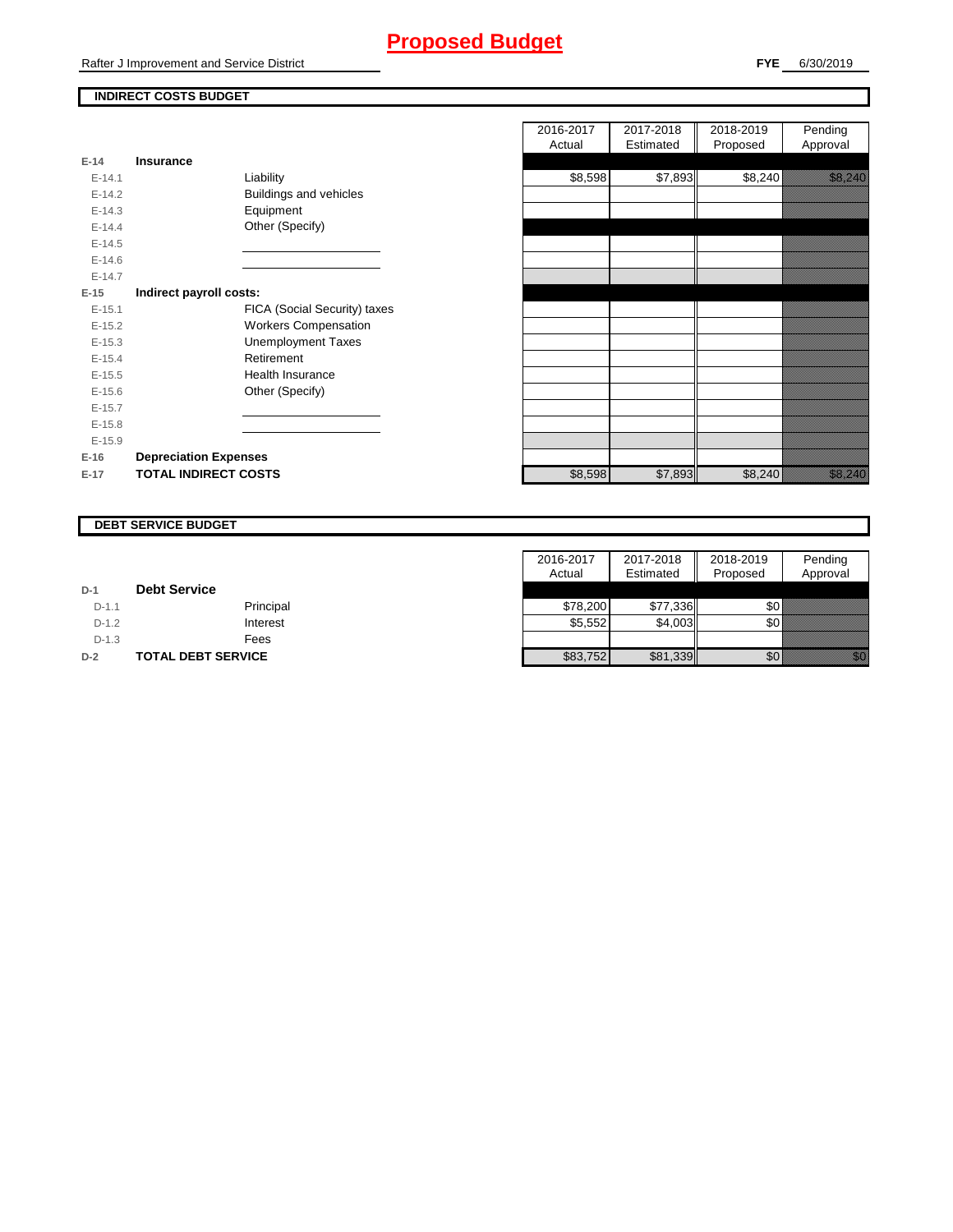# **Proposed Budget**

Rafter J Improvement and Service District

# **INDIRECT COSTS BUDGET**

| E-14     | Insurance                    |
|----------|------------------------------|
| $F-141$  | Liability                    |
| $F-142$  | Buildings and vehicles       |
| $E-14.3$ | Equipment                    |
| $F-144$  | Other (Specify)              |
| $E-14.5$ |                              |
| $F-146$  |                              |
| $F-147$  |                              |
| E-15     | Indirect payroll costs:      |
| $E-15.1$ | FICA (Social Security) taxes |
| $E-15.2$ | <b>Workers Compensation</b>  |
| $E-15.3$ | <b>Unemployment Taxes</b>    |
| $F-154$  | Retirement                   |
| $E-15.5$ | Health Insurance             |
| $F-156$  | Other (Specify)              |
| $E-15.7$ |                              |
| $E-15.8$ |                              |
| $E-15.9$ |                              |
| $E-16$   | <b>Depreciation Expenses</b> |
| $E-17$   | <b>TOTAL INDIRECT COSTS</b>  |

|          |                              | 2016-2017 | 2017-2018 | 2018-2019 | Pending                                                                                                              |
|----------|------------------------------|-----------|-----------|-----------|----------------------------------------------------------------------------------------------------------------------|
|          |                              | Actual    | Estimated | Proposed  | Approval                                                                                                             |
| $E-14$   | <b>Insurance</b>             |           |           |           |                                                                                                                      |
| $E-14.1$ | Liability                    | \$8,598   | \$7,893   | \$8,240   | <u> Karlingan Sa</u>                                                                                                 |
| $E-14.2$ | Buildings and vehicles       |           |           |           |                                                                                                                      |
| $E-14.3$ | Equipment                    |           |           |           |                                                                                                                      |
| $E-14.4$ | Other (Specify)              |           |           |           |                                                                                                                      |
| $E-14.5$ |                              |           |           |           |                                                                                                                      |
| $E-14.6$ |                              |           |           |           |                                                                                                                      |
| $E-14.7$ |                              |           |           |           |                                                                                                                      |
| $E-15$   | Indirect payroll costs:      |           |           |           |                                                                                                                      |
| $E-15.1$ | FICA (Social Security) taxes |           |           |           |                                                                                                                      |
| $E-15.2$ | <b>Workers Compensation</b>  |           |           |           |                                                                                                                      |
| $E-15.3$ | <b>Unemployment Taxes</b>    |           |           |           |                                                                                                                      |
| $E-15.4$ | Retirement                   |           |           |           |                                                                                                                      |
| $E-15.5$ | <b>Health Insurance</b>      |           |           |           |                                                                                                                      |
| $E-15.6$ | Other (Specify)              |           |           |           |                                                                                                                      |
| $E-15.7$ |                              |           |           |           |                                                                                                                      |
| $E-15.8$ |                              |           |           |           |                                                                                                                      |
| $E-15.9$ |                              |           |           |           |                                                                                                                      |
| E-16     | <b>Depreciation Expenses</b> |           |           |           |                                                                                                                      |
| E-17     | <b>TOTAL INDIRECT COSTS</b>  | \$8,598   | \$7,893   | \$8,240   | <u>i karatikana ya kusingan karatikana ya kusingan karatikana ya kusingan karatikana ya kusingan karatikana ya k</u> |
|          |                              |           |           |           |                                                                                                                      |

#### **DEBT SERVICE BUDGET**

|         |                           | 2016-2017 | 2017-2018 | 2018-2019  | Pending  |
|---------|---------------------------|-----------|-----------|------------|----------|
|         |                           | Actual    | Estimated | Proposed   | Approval |
| $D-1$   | <b>Debt Service</b>       |           |           |            |          |
| $D-1.1$ | Principal                 | \$78,200  | \$77.336  | <b>\$0</b> |          |
| $D-1.2$ | Interest                  | \$5,552   | \$4,003   | \$0 I      |          |
| $D-1.3$ | Fees                      |           |           |            |          |
| $D-2$   | <b>TOTAL DEBT SERVICE</b> | \$83,752  | \$81,339  | \$0        |          |